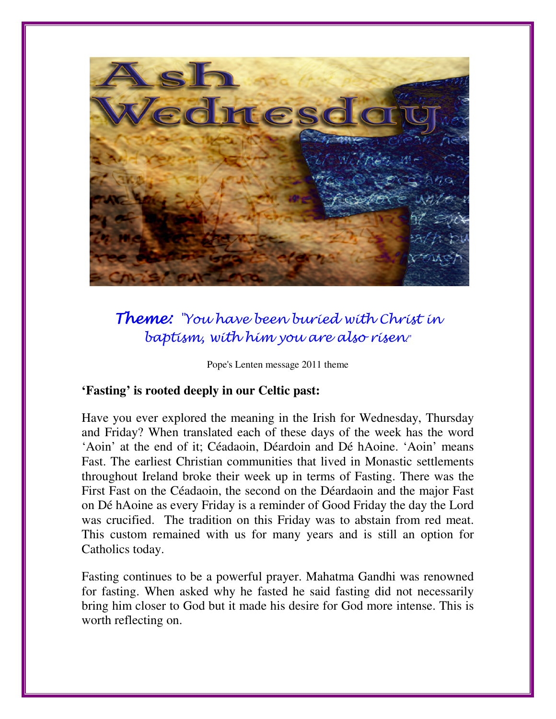

# Theme: "You have been buried with Christ in baptism, with him you are also risen."

Pope's Lenten message 2011 theme

#### **'Fasting' is rooted deeply in our Celtic past:**

Have you ever explored the meaning in the Irish for Wednesday, Thursday and Friday? When translated each of these days of the week has the word 'Aoin' at the end of it; Céadaoin, Déardoin and Dé hAoine. 'Aoin' means Fast. The earliest Christian communities that lived in Monastic settlements throughout Ireland broke their week up in terms of Fasting. There was the First Fast on the Céadaoin, the second on the Déardaoin and the major Fast on Dé hAoine as every Friday is a reminder of Good Friday the day the Lord was crucified. The tradition on this Friday was to abstain from red meat. This custom remained with us for many years and is still an option for Catholics today.

Fasting continues to be a powerful prayer. Mahatma Gandhi was renowned for fasting. When asked why he fasted he said fasting did not necessarily bring him closer to God but it made his desire for God more intense. This is worth reflecting on.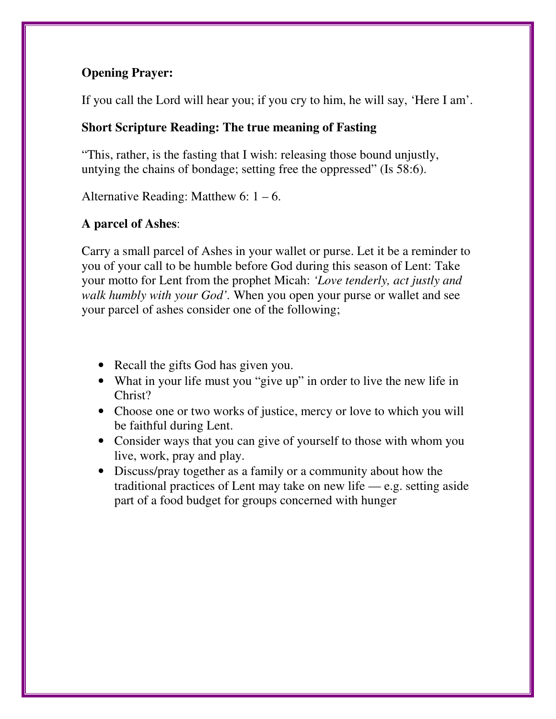# **Opening Prayer:**

If you call the Lord will hear you; if you cry to him, he will say, 'Here I am'.

### **Short Scripture Reading: The true meaning of Fasting**

"This, rather, is the fasting that I wish: releasing those bound unjustly, untying the chains of bondage; setting free the oppressed" (Is 58:6).

Alternative Reading: Matthew  $6: 1 - 6$ .

# **A parcel of Ashes**:

Carry a small parcel of Ashes in your wallet or purse. Let it be a reminder to you of your call to be humble before God during this season of Lent: Take your motto for Lent from the prophet Micah: *'Love tenderly, act justly and walk humbly with your God'.* When you open your purse or wallet and see your parcel of ashes consider one of the following;

- Recall the gifts God has given you.
- What in your life must you "give up" in order to live the new life in Christ?
- Choose one or two works of justice, mercy or love to which you will be faithful during Lent.
- Consider ways that you can give of yourself to those with whom you live, work, pray and play.
- Discuss/pray together as a family or a community about how the traditional practices of Lent may take on new life  $-e.g.$  setting aside part of a food budget for groups concerned with hunger